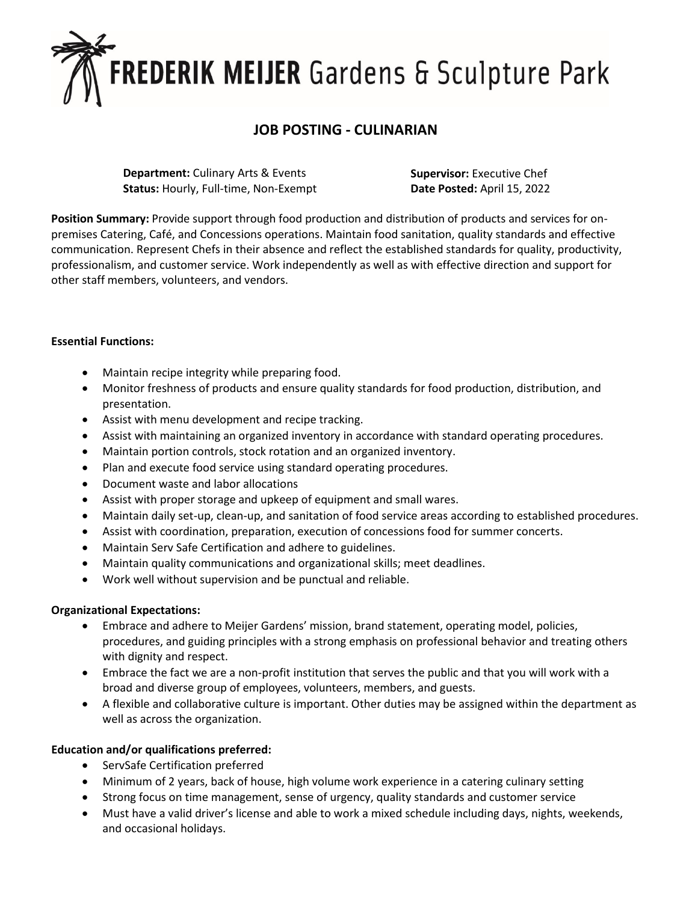# **FREDERIK MEIJER** Gardens & Sculpture Park

# **JOB POSTING - CULINARIAN**

**Department:** Culinary Arts & Events **Status:** Hourly, Full-time, Non-Exempt **Supervisor:** Executive Chef **Date Posted:** April 15, 2022

**Position Summary:** Provide support through food production and distribution of products and services for onpremises Catering, Café, and Concessions operations. Maintain food sanitation, quality standards and effective communication. Represent Chefs in their absence and reflect the established standards for quality, productivity, professionalism, and customer service. Work independently as well as with effective direction and support for other staff members, volunteers, and vendors.

### **Essential Functions:**

- Maintain recipe integrity while preparing food.
- Monitor freshness of products and ensure quality standards for food production, distribution, and presentation.
- Assist with menu development and recipe tracking.
- Assist with maintaining an organized inventory in accordance with standard operating procedures.
- Maintain portion controls, stock rotation and an organized inventory.
- Plan and execute food service using standard operating procedures.
- Document waste and labor allocations
- Assist with proper storage and upkeep of equipment and small wares.
- Maintain daily set-up, clean-up, and sanitation of food service areas according to established procedures.
- Assist with coordination, preparation, execution of concessions food for summer concerts.
- Maintain Serv Safe Certification and adhere to guidelines.
- Maintain quality communications and organizational skills; meet deadlines.
- Work well without supervision and be punctual and reliable.

### **Organizational Expectations:**

- Embrace and adhere to Meijer Gardens' mission, brand statement, operating model, policies, procedures, and guiding principles with a strong emphasis on professional behavior and treating others with dignity and respect.
- Embrace the fact we are a non-profit institution that serves the public and that you will work with a broad and diverse group of employees, volunteers, members, and guests.
- A flexible and collaborative culture is important. Other duties may be assigned within the department as well as across the organization.

### **Education and/or qualifications preferred:**

- ServSafe Certification preferred
- Minimum of 2 years, back of house, high volume work experience in a catering culinary setting
- Strong focus on time management, sense of urgency, quality standards and customer service
- Must have a valid driver's license and able to work a mixed schedule including days, nights, weekends, and occasional holidays.